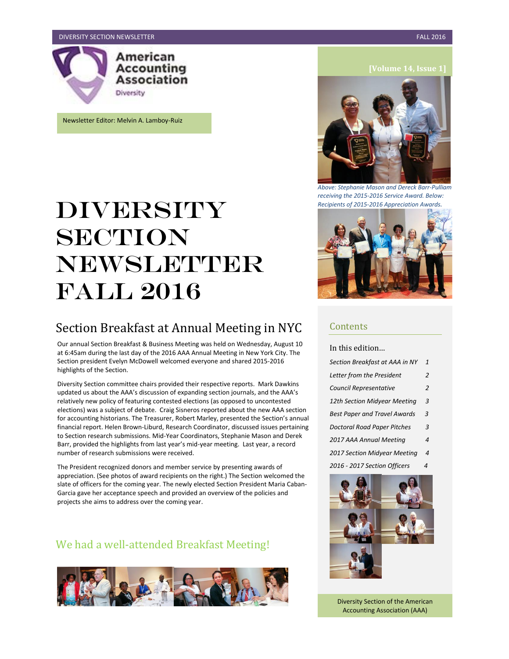

Newsletter Editor: Melvin A. Lamboy-Ruiz

# DIVERSITY **SECTION** NEWSLETTER Fall 2016

# Section Breakfast at Annual Meeting in NYC

Our annual Section Breakfast & Business Meeting was held on Wednesday, August 10 at 6:45am during the last day of the 2016 AAA Annual Meeting in New York City. The Section president Evelyn McDowell welcomed everyone and shared 2015-2016 highlights of the Section.

Diversity Section committee chairs provided their respective reports. Mark Dawkins updated us about the AAA's discussion of expanding section journals, and the AAA's relatively new policy of featuring contested elections (as opposed to uncontested elections) was a subject of debate. Craig Sisneros reported about the new AAA section for accounting historians. The Treasurer, Robert Marley, presented the Section's annual financial report. Helen Brown-Liburd, Research Coordinator, discussed issues pertaining to Section research submissions. Mid-Year Coordinators, Stephanie Mason and Derek Barr, provided the highlights from last year's mid-year meeting. Last year, a record number of research submissions were received.

The President recognized donors and member service by presenting awards of appreciation. (See photos of award recipients on the right.) The Section welcomed the slate of officers for the coming year. The newly elected Section President Maria Caban-Garcia gave her acceptance speech and provided an overview of the policies and projects she aims to address over the coming year.

### We had a well-attended Breakfast Meeting!





*Above: Stephanie Mason and Dereck Barr-Pulliam receiving the 2015-2016 Service Award. Below: Recipients of 2015-2016 Appreciation Awards.*



### Contents

In this edition…

| Section Breakfast at AAA in NY      | 1 |
|-------------------------------------|---|
| Letter from the President           | 2 |
| Council Representative              | 2 |
| 12th Section Midyear Meeting        | 3 |
| <b>Best Paper and Travel Awards</b> | 3 |
| <b>Doctoral Road Paper Pitches</b>  | 3 |
| 2017 AAA Annual Meeting             | 4 |
| 2017 Section Midyear Meeting        | 4 |
| 2016 - 2017 Section Officers        | 4 |
|                                     |   |



Diversity Section of the American Accounting Association (AAA)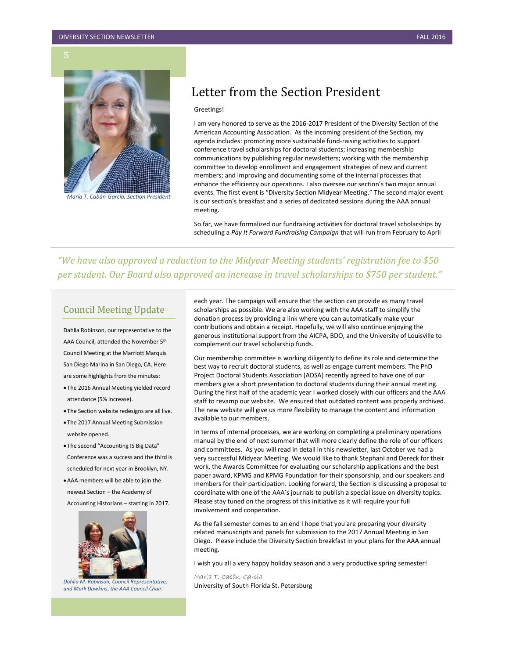**5**



*María T. Cabán-García, Section President*

# Letter from the Section President

#### Greetings!

I am very honored to serve as the 2016-2017 President of the Diversity Section of the American Accounting Association. As the incoming president of the Section, my agenda includes: promoting more sustainable fund-raising activities to support conference travel scholarships for doctoral students; increasing membership communications by publishing regular newsletters; working with the membership committee to develop enrollment and engagement strategies of new and current members; and improving and documenting some of the internal processes that enhance the efficiency our operations. I also oversee our section's two major annual events. The first event is "Diversity Section Midyear Meeting." The second major event is our section's breakfast and a series of dedicated sessions during the AAA annual meeting.

So far, we have formalized our fundraising activities for doctoral travel scholarships by scheduling a *Pay It Forward Fundraising Campaign* that will run from February to April

*"We have also approved a reduction to the Midyear Meeting students' registration fee to \$50 per student. Our Board also approved an increase in travel scholarships to \$750 per student."*

#### Council Meeting Update

Dahlia Robinson, our representative to the AAA Council, attended the November 5th Council Meeting at the Marriott Marquis San Diego Marina in San Diego, CA. Here are some highlights from the minutes:

- The 2016 Annual Meeting yielded record attendance (5% increase).
- The Section website redesigns are all live.
- The 2017 Annual Meeting Submission website opened.
- The second "Accounting IS Big Data" Conference was a success and the third is scheduled for next year in Brooklyn, NY.
- AAA members will be able to join the newest Section – the Academy of Accounting Historians – starting in 2017.



 *Dahlia M. Robinson, Council Representative, and Mark Dawkins, the AAA Council Chair.*

each year. The campaign will ensure that the section can provide as many travel scholarships as possible. We are also working with the AAA staff to simplify the donation process by providing a link where you can automatically make your contributions and obtain a receipt. Hopefully, we will also continue enjoying the generous institutional support from the AICPA, BDO, and the University of Louisville to complement our travel scholarship funds.

Our membership committee is working diligently to define its role and determine the best way to recruit doctoral students, as well as engage current members. The PhD Project Doctoral Students Association (ADSA) recently agreed to have one of our members give a short presentation to doctoral students during their annual meeting. During the first half of the academic year I worked closely with our officers and the AAA staff to revamp our website. We ensured that outdated content was properly archived. The new website will give us more flexibility to manage the content and information available to our members.

In terms of internal processes, we are working on completing a preliminary operations manual by the end of next summer that will more clearly define the role of our officers and committees. As you will read in detail in this newsletter, last October we had a very successful Midyear Meeting. We would like to thank Stephani and Dereck for their work, the Awards Committee for evaluating our scholarship applications and the best paper award, KPMG and KPMG Foundation for their sponsorship, and our speakers and members for their participation. Looking forward, the Section is discussing a proposal to coordinate with one of the AAA's journals to publish a special issue on diversity topics. Please stay tuned on the progress of this initiative as it will require your full involvement and cooperation.

As the fall semester comes to an end I hope that you are preparing your diversity related manuscripts and panels for submission to the 2017 Annual Meeting in San Diego. Please include the Diversity Section breakfast in your plans for the AAA annual meeting.

I wish you all a very happy holiday season and a very productive spring semester!

María T. Cabán-García University of South Florida St. Petersburg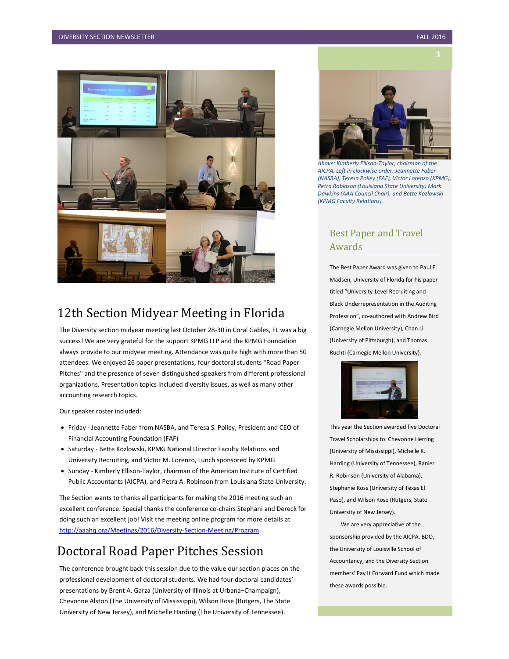

# 12th Section Midyear Meeting in Florida

The Diversity section midyear meeting last October 28-30 in Coral Gables, FL was a big success! We are very grateful for the support KPMG LLP and the KPMG Foundation always provide to our midyear meeting. Attendance was quite high with more than 50 attendees. We enjoyed 26 paper presentations, four doctoral students "Road Paper Pitches" and the presence of seven distinguished speakers from different professional organizations. Presentation topics included diversity issues, as well as many other accounting research topics.

Our speaker roster included:

- Friday Jeannette Faber from NASBA, and Teresa S. Polley, President and CEO of Financial Accounting Foundation (FAF)
- Saturday Bette Kozlowski, KPMG National Director Faculty Relations and University Recruiting, and Victor M. Lorenzo, Lunch sponsored by KPMG
- Sunday Kimberly Ellison-Taylor, chairman of the American Institute of Certified Public Accountants (AICPA), and Petra A. Robinson from Louisiana State University.

The Section wants to thanks all participants for making the 2016 meeting such an excellent conference. Special thanks the conference co-chairs Stephani and Dereck for doing such an excellent job! Visit the meeting online program for more details at [http://aaahq.org/Meetings/2016/Diversity-Section-Meeting/Program.](http://aaahq.org/Meetings/2016/Diversity-Section-Meeting/Program)

# Doctoral Road Paper Pitches Session

The conference brought back this session due to the value our section places on the professional development of doctoral students. We had four doctoral candidates' presentations by Brent A. Garza (University of Illinois at Urbana–Champaign), Chevonne Alston (The University of Mississippi), Wilson Rose (Rutgers, The State University of New Jersey), and Michelle Harding (The University of Tennessee).



*Above: Kimberly Ellison-Taylor, chairman of the AICPA. Left in clockwise order: Jeannette Faber (NASBA), Teresa Polley (FAF), Victor Lorenzo (KPMG), Petra Robinson (Louisiana State University) Mark Dawkins (AAA Council Chair), and Bette Kozlowski (KPMG Faculty Relations).*

### Best Paper and Travel Awards

The Best Paper Award was given to Paul E. Madsen, University of Florida for his paper titled "University-Level Recruiting and Black Underrepresentation in the Auditing Profession", co-authored with Andrew Bird (Carnegie Mellon University), Chan Li (University of Pittsburgh), and Thomas Ruchti (Carnegie Mellon University).



This year the Section awarded five Doctoral Travel Scholarships to: Chevonne Herring (University of Mississippi), Michelle K. Harding (University of Tennessee), Ranier R. Robinson (University of Alabama), Stephanie Ross (University of Texas El Paso), and Wilson Rose (Rutgers, State University of New Jersey).

 We are very appreciative of the sponsorship provided by the AICPA, BDO, the University of Louisville School of Accountancy, and the Diversity Section members' Pay It Forward Fund which made these awards possible.